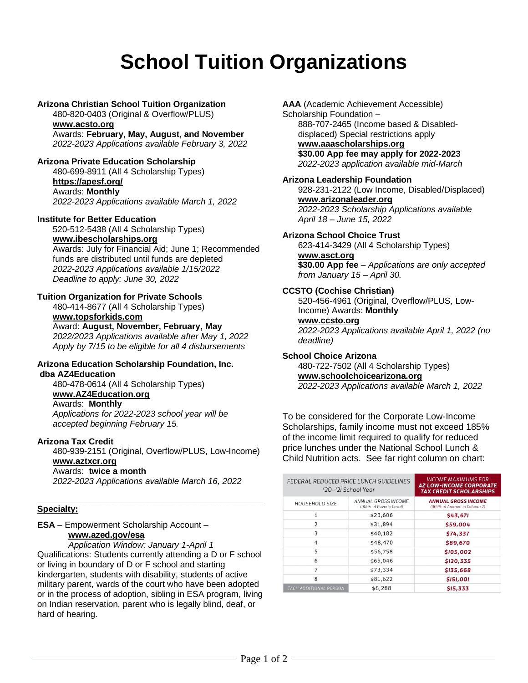# **School Tuition Organizations**

#### **Arizona Christian School Tuition Organization**

480-820-0403 (Original & Overflow/PLUS)

#### **[www.acsto.org](http://www.acsto.org/)**

Awards: **February, May, August, and November** *2022-2023 Applications available February 3, 2022*

#### **Arizona Private Education Scholarship**

480-699-8911 (All 4 Scholarship Types)

## **<https://apesf.org/>**

Awards: **Monthly** *2022-2023 Applications available March 1, 2022*

#### **Institute for Better Education**

520-512-5438 (All 4 Scholarship Types)

#### **[www.ibescholarships.org](http://www.ibescholarships.org/)**

Awards: July for Financial Aid; June 1; Recommended funds are distributed until funds are depleted *2022-2023 Applications available 1/15/2022 Deadline to apply: June 30, 2022*

#### **Tuition Organization for Private Schools**

480-414-8677 (All 4 Scholarship Types) **[www.topsforkids.com](http://www.topsforkids.com/)**

Award: **August, November, February, May** *2022/2023 Applications available after May 1, 2022 Apply by 7/15 to be eligible for all 4 disbursements*

#### **Arizona Education Scholarship Foundation, Inc. dba AZ4Education**

480-478-0614 (All 4 Scholarship Types) **[www.AZ4Education.org](http://www.az4education.org/)** Awards: **Monthly** *Applications for 2022-2023 school year will be accepted beginning February 15.* 

#### **Arizona Tax Credit**

480-939-2151 (Original, Overflow/PLUS, Low-Income) **[www.aztxcr.org](http://www.aztxcr.org/)** Awards: **twice a month**

*2022-2023 Applications available March 16, 2022*

**\_\_\_\_\_\_\_\_\_\_\_\_\_\_\_\_\_\_\_\_\_\_\_\_\_\_\_\_\_\_\_\_\_\_\_\_\_\_\_\_\_\_\_\_\_\_\_\_\_\_\_\_\_\_\_\_\_\_\_**

#### **Specialty:**

**ESA** – Empowerment Scholarship Account –

## **[www.azed.gov/esa](http://www.azed.gov/esa)**

*Application Window: January 1-April 1* Qualifications: Students currently attending a D or F school or living in boundary of D or F school and starting kindergarten, students with disability, students of active military parent, wards of the court who have been adopted or in the process of adoption, sibling in ESA program, living on Indian reservation, parent who is legally blind, deaf, or hard of hearing.

**AAA** (Academic Achievement Accessible) Scholarship Foundation –

888-707-2465 (Income based & Disableddisplaced) Special restrictions apply **[www.aaascholarships.org](http://www.aaascholarships.org/) \$30.00 App fee may apply for 2022-2023** *2022-2023 application available mid-March*

#### **Arizona Leadership Foundation**

928-231-2122 (Low Income, Disabled/Displaced) **[www.arizonaleader.org](http://www.arizonaleader.org/)** *2022-2023 Scholarship Applications available April 18 – June 15, 2022*

#### **Arizona School Choice Trust**

623-414-3429 (All 4 Scholarship Types) **[www.asct.org](http://www.asct.org/) \$30.00 App fee** – *Applications are only accepted from January 15 – April 30.* 

#### **CCSTO (Cochise Christian)**

520-456-4961 (Original, Overflow/PLUS, Low-Income) Awards: **Monthly [www.ccsto.org](http://www.ccsto.org/)** *2022-2023 Applications available April 1, 2022 (no deadline)*

#### **School Choice Arizona**

480-722-7502 (All 4 Scholarship Types) **[www.schoolchoicearizona.org](http://www.schoolchoicearizona.org/)** *2022-2023 Applications available March 1, 2022*

To be considered for the Corporate Low-Income Scholarships, family income must not exceed 185% of the income limit required to qualify for reduced price lunches under the National School Lunch & Child Nutrition acts. See far right column on chart:

| FEDERAL REDUCED PRICE LUNCH GUIDELINES<br>'20-'2I School Year |                                                | INCOME MAXIMUMS FOR<br><b>AZ LOW-INCOME CORPORATE</b><br><b>TAX CREDIT SCHOLARSHIPS</b> |
|---------------------------------------------------------------|------------------------------------------------|-----------------------------------------------------------------------------------------|
| <b>HOUSEHOLD SIZE</b>                                         | ANNUAL GROSS INCOME<br>(185% of Poverty Level) | <b>ANNUAL GROSS INCOME</b><br>(185% of Amount in Column 2)                              |
|                                                               | \$23,606                                       | \$43,671                                                                                |
| $\overline{2}$                                                | \$31,894                                       | \$59,004                                                                                |
| 3                                                             | \$40,182                                       | \$74,337                                                                                |
| 4                                                             | \$48,470                                       | \$89,670                                                                                |
| 5                                                             | \$56,758                                       | \$105,002                                                                               |
| 6                                                             | \$65,046                                       | \$120,335                                                                               |
| 7                                                             | \$73,334                                       | \$135,668                                                                               |
| 8                                                             | \$81,622                                       | \$151,001                                                                               |
| <b>EACH ADDITIONAL PERSON</b>                                 | \$8,288                                        | \$15,333                                                                                |